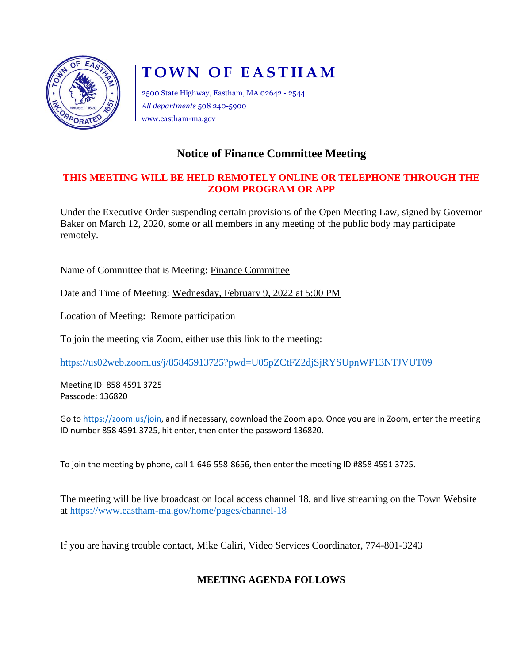

# **TOWN OF EASTHAM**

2500 State Highway, Eastham, MA 02642 - 2544 *All departments* 508 240-5900 www.eastham-ma.gov

## **Notice of Finance Committee Meeting**

#### **THIS MEETING WILL BE HELD REMOTELY ONLINE OR TELEPHONE THROUGH THE ZOOM PROGRAM OR APP**

Under the Executive Order suspending certain provisions of the Open Meeting Law, signed by Governor Baker on March 12, 2020, some or all members in any meeting of the public body may participate remotely.

Name of Committee that is Meeting: Finance Committee

Date and Time of Meeting: Wednesday, February 9, 2022 at 5:00 PM

Location of Meeting: Remote participation

To join the meeting via Zoom, either use this link to the meeting:

<https://us02web.zoom.us/j/85845913725?pwd=U05pZCtFZ2djSjRYSUpnWF13NTJVUT09>

Meeting ID: 858 4591 3725 Passcode: 136820

Go to [https://zoom.us/join,](https://zoom.us/join) and if necessary, download the Zoom app. Once you are in Zoom, enter the meeting ID number 858 4591 3725, hit enter, then enter the password 136820.

To join the meeting by phone, call 1-646-558-8656, then enter the meeting ID #858 4591 3725.

The meeting will be live broadcast on local access channel 18, and live streaming on the Town Website at<https://www.eastham-ma.gov/home/pages/channel-18>

If you are having trouble contact, Mike Caliri, Video Services Coordinator, 774-801-3243

### **MEETING AGENDA FOLLOWS**